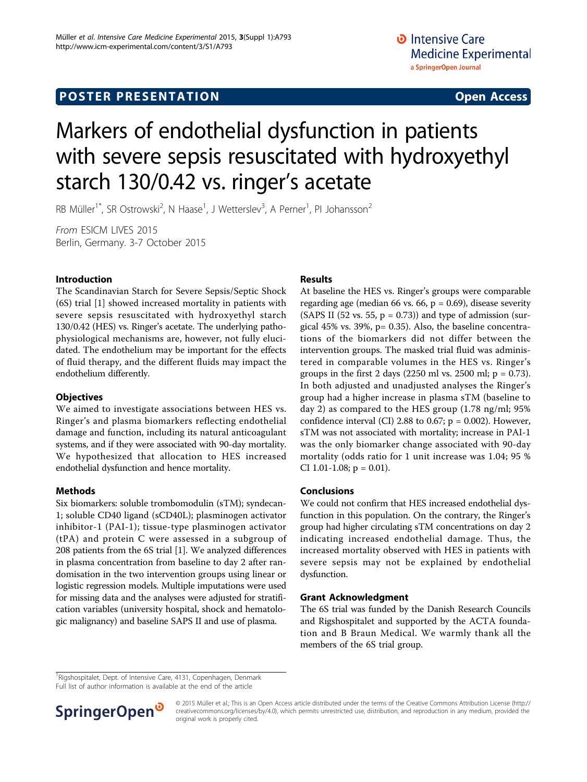# **POSTER PRESENTATION CONSUMING ACCESS**

# Markers of endothelial dysfunction in patients with severe sepsis resuscitated with hydroxyethyl starch 130/0.42 vs. ringer's acetate

RB Müller<sup>1\*</sup>, SR Ostrowski<sup>2</sup>, N Haase<sup>1</sup>, J Wetterslev<sup>3</sup>, A Perner<sup>1</sup>, PI Johansson<sup>2</sup>

From ESICM LIVES 2015 Berlin, Germany. 3-7 October 2015

### Introduction

The Scandinavian Starch for Severe Sepsis/Septic Shock (6S) trial [[1\]](#page-1-0) showed increased mortality in patients with severe sepsis resuscitated with hydroxyethyl starch 130/0.42 (HES) vs. Ringer's acetate. The underlying pathophysiological mechanisms are, however, not fully elucidated. The endothelium may be important for the effects of fluid therapy, and the different fluids may impact the endothelium differently.

## **Objectives**

We aimed to investigate associations between HES vs. Ringer's and plasma biomarkers reflecting endothelial damage and function, including its natural anticoagulant systems, and if they were associated with 90-day mortality. We hypothesized that allocation to HES increased endothelial dysfunction and hence mortality.

#### Methods

Six biomarkers: soluble trombomodulin (sTM); syndecan-1; soluble CD40 ligand (sCD40L); plasminogen activator inhibitor-1 (PAI-1); tissue-type plasminogen activator (tPA) and protein C were assessed in a subgroup of 208 patients from the 6S trial [\[1](#page-1-0)]. We analyzed differences in plasma concentration from baseline to day 2 after randomisation in the two intervention groups using linear or logistic regression models. Multiple imputations were used for missing data and the analyses were adjusted for stratification variables (university hospital, shock and hematologic malignancy) and baseline SAPS II and use of plasma.

### Results

At baseline the HES vs. Ringer's groups were comparable regarding age (median 66 vs. 66,  $p = 0.69$ ), disease severity (SAPS II (52 vs. 55,  $p = 0.73$ )) and type of admission (surgical 45% vs. 39%, p= 0.35). Also, the baseline concentrations of the biomarkers did not differ between the intervention groups. The masked trial fluid was administered in comparable volumes in the HES vs. Ringer's groups in the first 2 days (2250 ml vs. 2500 ml;  $p = 0.73$ ). In both adjusted and unadjusted analyses the Ringer's group had a higher increase in plasma sTM (baseline to day 2) as compared to the HES group (1.78 ng/ml; 95% confidence interval (CI) 2.88 to 0.67;  $p = 0.002$ ). However, sTM was not associated with mortality; increase in PAI-1 was the only biomarker change associated with 90-day mortality (odds ratio for 1 unit increase was 1.04; 95 % CI 1.01-1.08;  $p = 0.01$ ).

#### Conclusions

We could not confirm that HES increased endothelial dysfunction in this population. On the contrary, the Ringer's group had higher circulating sTM concentrations on day 2 indicating increased endothelial damage. Thus, the increased mortality observed with HES in patients with severe sepsis may not be explained by endothelial dysfunction.

#### Grant Acknowledgment

The 6S trial was funded by the Danish Research Councils and Rigshospitalet and supported by the ACTA foundation and B Braun Medical. We warmly thank all the members of the 6S trial group.

<sup>1</sup>Rigshospitalet, Dept. of Intensive Care, 4131, Copenhagen, Denmark Full list of author information is available at the end of the article



© 2015 Müller et al.; This is an Open Access article distributed under the terms of the Creative Commons Attribution License [\(http://](http://creativecommons.org/licenses/by/4.0) [creativecommons.org/licenses/by/4.0](http://creativecommons.org/licenses/by/4.0)), which permits unrestricted use, distribution, and reproduction in any medium, provided the original work is properly cited.